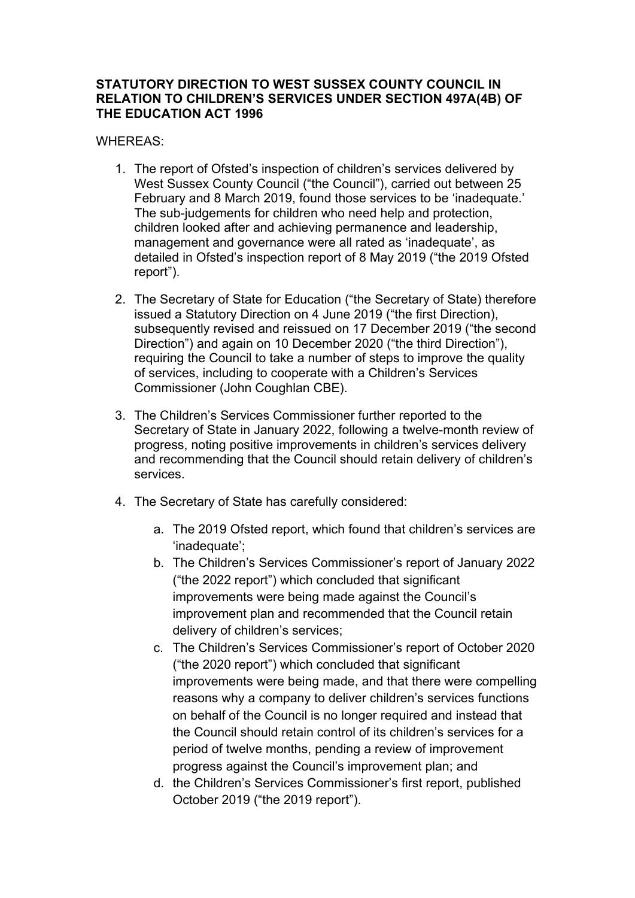## **STATUTORY DIRECTION TO WEST SUSSEX COUNTY COUNCIL IN RELATION TO CHILDREN'S SERVICES UNDER SECTION 497A(4B) OF THE EDUCATION ACT 1996**

## WHEREAS:

- 1. The report of Ofsted's inspection of children's services delivered by West Sussex County Council ("the Council"), carried out between 25 February and 8 March 2019, found those services to be 'inadequate.' The sub-judgements for children who need help and protection, children looked after and achieving permanence and leadership, management and governance were all rated as 'inadequate', as detailed in Ofsted's inspection report of 8 May 2019 ("the 2019 Ofsted report").
- 2. The Secretary of State for Education ("the Secretary of State) therefore issued a Statutory Direction on 4 June 2019 ("the first Direction), subsequently revised and reissued on 17 December 2019 ("the second Direction") and again on 10 December 2020 ("the third Direction"), requiring the Council to take a number of steps to improve the quality of services, including to cooperate with a Children's Services Commissioner (John Coughlan CBE).
- 3. The Children's Services Commissioner further reported to the Secretary of State in January 2022, following a twelve-month review of progress, noting positive improvements in children's services delivery and recommending that the Council should retain delivery of children's services.
- 4. The Secretary of State has carefully considered:
	- a. The 2019 Ofsted report, which found that children's services are 'inadequate';
	- b. The Children's Services Commissioner's report of January 2022 ("the 2022 report") which concluded that significant improvements were being made against the Council's improvement plan and recommended that the Council retain delivery of children's services;
	- c. The Children's Services Commissioner's report of October 2020 ("the 2020 report") which concluded that significant improvements were being made, and that there were compelling reasons why a company to deliver children's services functions on behalf of the Council is no longer required and instead that the Council should retain control of its children's services for a period of twelve months, pending a review of improvement progress against the Council's improvement plan; and
	- d. the Children's Services Commissioner's first report, published October 2019 ("the 2019 report").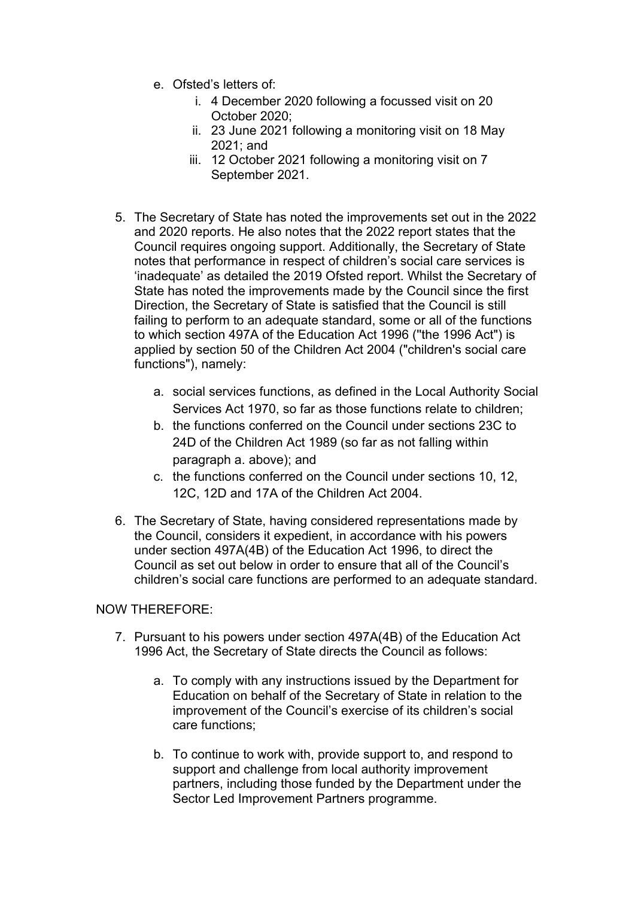- e. Ofsted's letters of:
	- i. 4 December 2020 following a focussed visit on 20 October 2020;
	- ii. 23 June 2021 following a monitoring visit on 18 May 2021; and
	- iii. 12 October 2021 following a monitoring visit on 7 September 2021.
- 5. The Secretary of State has noted the improvements set out in the 2022 and 2020 reports. He also notes that the 2022 report states that the Council requires ongoing support. Additionally, the Secretary of State notes that performance in respect of children's social care services is 'inadequate' as detailed the 2019 Ofsted report. Whilst the Secretary of State has noted the improvements made by the Council since the first Direction, the Secretary of State is satisfied that the Council is still failing to perform to an adequate standard, some or all of the functions to which section 497A of the Education Act 1996 (''the 1996 Act") is applied by section 50 of the Children Act 2004 ("children's social care functions"), namely:
	- a. social services functions, as defined in the Local Authority Social Services Act 1970, so far as those functions relate to children;
	- b. the functions conferred on the Council under sections 23C to 24D of the Children Act 1989 (so far as not falling within paragraph a. above); and
	- c. the functions conferred on the Council under sections 10, 12, 12C, 12D and 17A of the Children Act 2004.
- 6. The Secretary of State, having considered representations made by the Council, considers it expedient, in accordance with his powers under section 497A(4B) of the Education Act 1996, to direct the Council as set out below in order to ensure that all of the Council's children's social care functions are performed to an adequate standard.

## NOW THEREFORE:

- 7. Pursuant to his powers under section 497A(4B) of the Education Act 1996 Act, the Secretary of State directs the Council as follows:
	- a. To comply with any instructions issued by the Department for Education on behalf of the Secretary of State in relation to the improvement of the Council's exercise of its children's social care functions;
	- b. To continue to work with, provide support to, and respond to support and challenge from local authority improvement partners, including those funded by the Department under the Sector Led Improvement Partners programme.